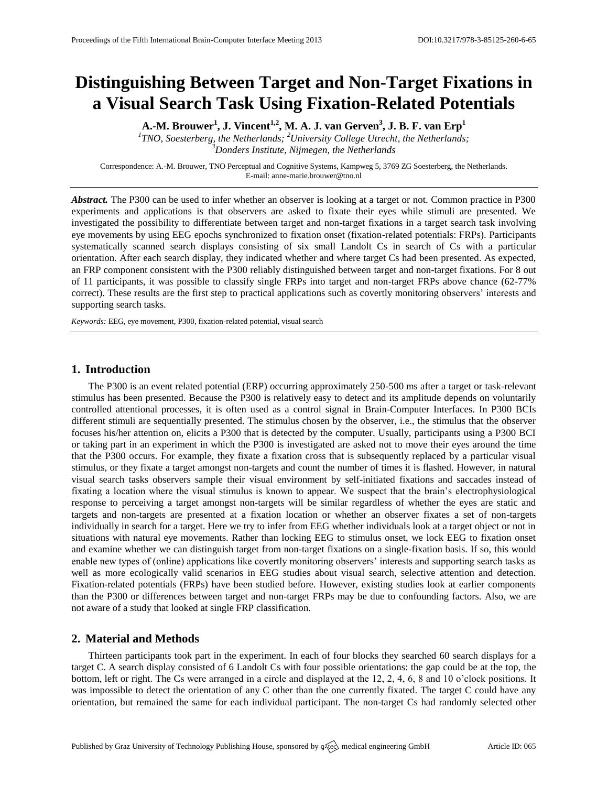# **Distinguishing Between Target and Non-Target Fixations in a Visual Search Task Using Fixation-Related Potentials**

**A.-M. Brouwer<sup>1</sup> , J. Vincent1,2, M. A. J. van Gerven<sup>3</sup> , J. B. F. van Erp<sup>1</sup>**

*1 TNO, Soesterberg, the Netherlands; <sup>2</sup>University College Utrecht, the Netherlands; <sup>3</sup>Donders Institute, Nijmegen, the Netherlands*

Correspondence: A.-M. Brouwer, TNO Perceptual and Cognitive Systems, Kampweg 5, 3769 ZG Soesterberg, the Netherlands. E-mail[: anne-marie.brouwer@tno.nl](mailto:corresponding.author@address.com)

*Abstract.* The P300 can be used to infer whether an observer is looking at a target or not. Common practice in P300 experiments and applications is that observers are asked to fixate their eyes while stimuli are presented. We investigated the possibility to differentiate between target and non-target fixations in a target search task involving eye movements by using EEG epochs synchronized to fixation onset (fixation-related potentials: FRPs). Participants systematically scanned search displays consisting of six small Landolt Cs in search of Cs with a particular orientation. After each search display, they indicated whether and where target Cs had been presented. As expected, an FRP component consistent with the P300 reliably distinguished between target and non-target fixations. For 8 out of 11 participants, it was possible to classify single FRPs into target and non-target FRPs above chance (62-77% correct). These results are the first step to practical applications such as covertly monitoring observers' interests and supporting search tasks.

*Keywords:* EEG, eye movement, P300, fixation-related potential, visual search

## **1. Introduction**

The P300 is an event related potential (ERP) occurring approximately 250-500 ms after a target or task-relevant stimulus has been presented. Because the P300 is relatively easy to detect and its amplitude depends on voluntarily controlled attentional processes, it is often used as a control signal in Brain-Computer Interfaces. In P300 BCIs different stimuli are sequentially presented. The stimulus chosen by the observer, i.e., the stimulus that the observer focuses his/her attention on, elicits a P300 that is detected by the computer. Usually, participants using a P300 BCI or taking part in an experiment in which the P300 is investigated are asked not to move their eyes around the time that the P300 occurs. For example, they fixate a fixation cross that is subsequently replaced by a particular visual stimulus, or they fixate a target amongst non-targets and count the number of times it is flashed. However, in natural visual search tasks observers sample their visual environment by self-initiated fixations and saccades instead of fixating a location where the visual stimulus is known to appear. We suspect that the brain's electrophysiological response to perceiving a target amongst non-targets will be similar regardless of whether the eyes are static and targets and non-targets are presented at a fixation location or whether an observer fixates a set of non-targets individually in search for a target. Here we try to infer from EEG whether individuals look at a target object or not in situations with natural eye movements. Rather than locking EEG to stimulus onset, we lock EEG to fixation onset and examine whether we can distinguish target from non-target fixations on a single-fixation basis. If so, this would enable new types of (online) applications like covertly monitoring observers' interests and supporting search tasks as well as more ecologically valid scenarios in EEG studies about visual search, selective attention and detection. Fixation-related potentials (FRPs) have been studied before. However, existing studies look at earlier components than the P300 or differences between target and non-target FRPs may be due to confounding factors. Also, we are not aware of a study that looked at single FRP classification.

## **2. Material and Methods**

Thirteen participants took part in the experiment. In each of four blocks they searched 60 search displays for a target C. A search display consisted of 6 Landolt Cs with four possible orientations: the gap could be at the top, the bottom, left or right. The Cs were arranged in a circle and displayed at the 12, 2, 4, 6, 8 and 10 o'clock positions. It was impossible to detect the orientation of any C other than the one currently fixated. The target C could have any orientation, but remained the same for each individual participant. The non-target Cs had randomly selected other